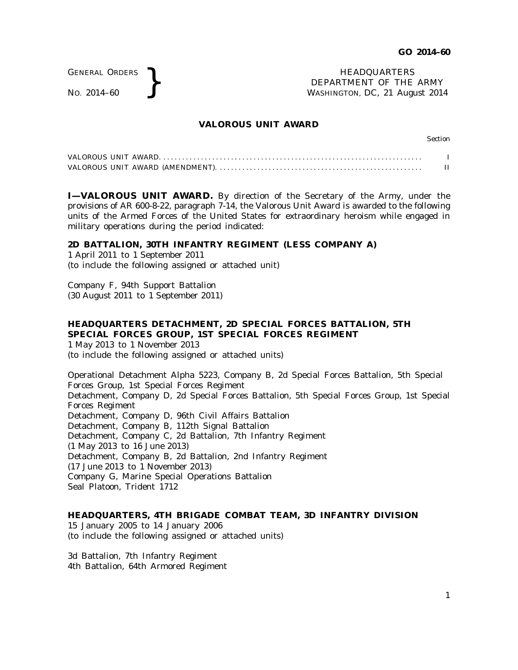GENERAL ORDERS

GENERAL ORDERS **REAL ORDERS** HEADQUARTERS **NO.** 2014–60 **REAL PROPERTY REAL PROPERTY OF THE** DEPARTMENT OF THE ARMY WASHINGTON, DC, *21 August 2014*

## **VALOROUS UNIT AWARD**

Section

**I-VALOROUS UNIT AWARD.** By direction of the Secretary of the Army, under the provisions of AR 600-8-22, paragraph 7-14, the Valorous Unit Award is awarded to the following units of the Armed Forces of the United States for extraordinary heroism while engaged in military operations during the period indicated:

## **2D BATTALION, 30TH INFANTRY REGIMENT (LESS COMPANY A)**

1 April 2011 to 1 September 2011 (to include the following assigned or attached unit)

Company F, 94th Support Battalion (30 August 2011 to 1 September 2011)

## **HEADQUARTERS DETACHMENT, 2D SPECIAL FORCES BATTALION, 5TH SPECIAL FORCES GROUP, 1ST SPECIAL FORCES REGIMENT**

1 May 2013 to 1 November 2013 (to include the following assigned or attached units)

Operational Detachment Alpha 5223, Company B, 2d Special Forces Battalion, 5th Special Forces Group, 1st Special Forces Regiment Detachment, Company D, 2d Special Forces Battalion, 5th Special Forces Group, 1st Special Forces Regiment Detachment, Company D, 96th Civil Affairs Battalion Detachment, Company B, 112th Signal Battalion Detachment, Company C, 2d Battalion, 7th Infantry Regiment (1 May 2013 to 16 June 2013) Detachment, Company B, 2d Battalion, 2nd Infantry Regiment (17 June 2013 to 1 November 2013) Company G, Marine Special Operations Battalion Seal Platoon, Trident 1712

## **HEADQUARTERS, 4TH BRIGADE COMBAT TEAM, 3D INFANTRY DIVISION**

15 January 2005 to 14 January 2006 (to include the following assigned or attached units)

3d Battalion, 7th Infantry Regiment 4th Battalion, 64th Armored Regiment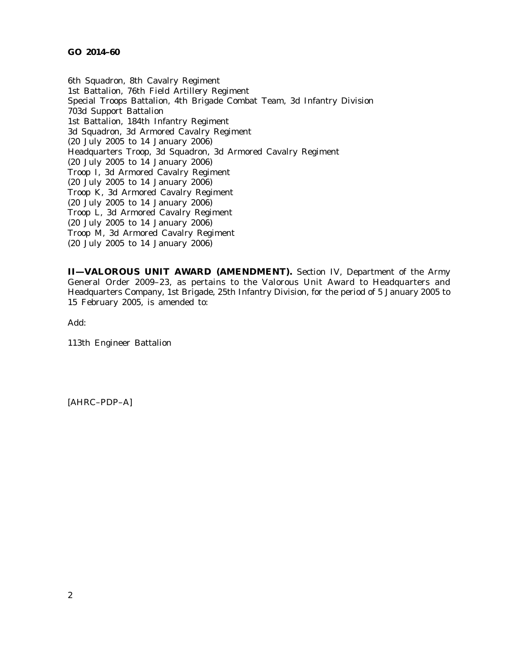6th Squadron, 8th Cavalry Regiment 1st Battalion, 76th Field Artillery Regiment Special Troops Battalion, 4th Brigade Combat Team, 3d Infantry Division 703d Support Battalion 1st Battalion, 184th Infantry Regiment 3d Squadron, 3d Armored Cavalry Regiment (20 July 2005 to 14 January 2006) Headquarters Troop, 3d Squadron, 3d Armored Cavalry Regiment (20 July 2005 to 14 January 2006) Troop I, 3d Armored Cavalry Regiment (20 July 2005 to 14 January 2006) Troop K, 3d Armored Cavalry Regiment (20 July 2005 to 14 January 2006) Troop L, 3d Armored Cavalry Regiment (20 July 2005 to 14 January 2006) Troop M, 3d Armored Cavalry Regiment (20 July 2005 to 14 January 2006)

**II—VALOROUS UNIT AWARD (AMENDMENT).** Section IV, Department of the Army General Order 2009-23, as pertains to the Valorous Unit Award to Headquarters and Headquarters Company, 1st Brigade, 25th Infantry Division, for the period of 5 January 2005 to 15 February 2005, is amended to:

Add:

113th Engineer Battalion

[AHRC–PDP–A]